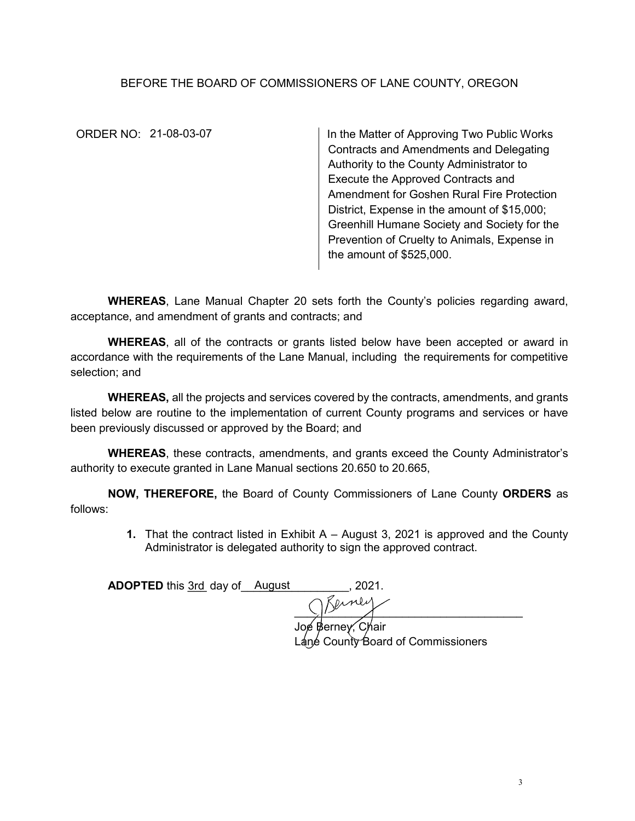## BEFORE THE BOARD OF COMMISSIONERS OF LANE COUNTY, OREGON

ORDER NO: 21-08-03-07

In the Matter of Approving Two Public Works Contracts and Amendments and Delegating Authority to the County Administrator to Execute the Approved Contracts and Amendment for Goshen Rural Fire Protection District, Expense in the amount of \$15,000; Greenhill Humane Society and Society for the Prevention of Cruelty to Animals, Expense in the amount of \$525,000.

**WHEREAS**, Lane Manual Chapter 20 sets forth the County's policies regarding award, acceptance, and amendment of grants and contracts; and

**WHEREAS**, all of the contracts or grants listed below have been accepted or award in accordance with the requirements of the Lane Manual, including the requirements for competitive selection; and

**WHEREAS,** all the projects and services covered by the contracts, amendments, and grants listed below are routine to the implementation of current County programs and services or have been previously discussed or approved by the Board; and

**WHEREAS**, these contracts, amendments, and grants exceed the County Administrator's authority to execute granted in Lane Manual sections 20.650 to 20.665,

**NOW, THEREFORE,** the Board of County Commissioners of Lane County **ORDERS** as follows:

> **1.** That the contract listed in Exhibit A – August 3, 2021 is approved and the County Administrator is delegated authority to sign the approved contract.

**ADOPTED** this <u>3rd</u> day of August 11, 2021.

 $\frac{1}{2}$ 

Joe Berney, Chair Láné County Board of Commissioners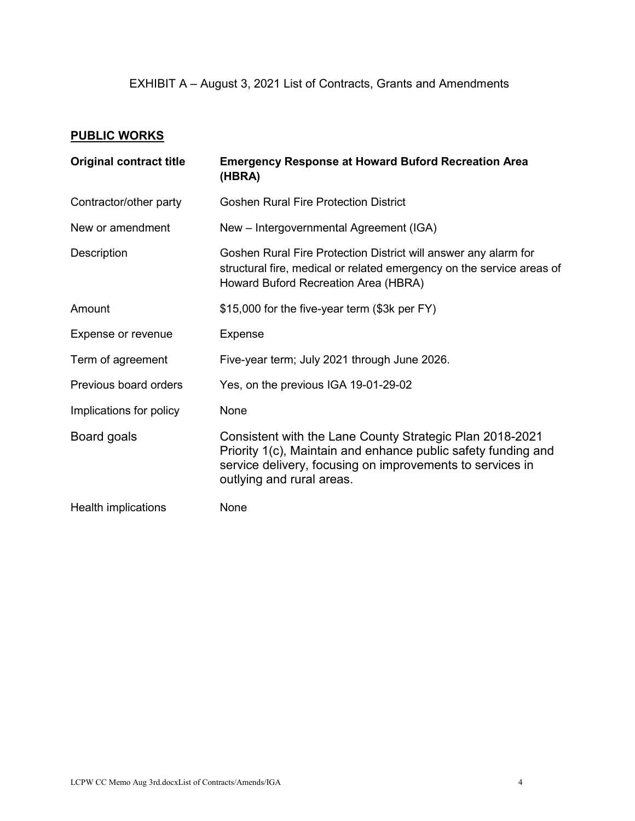## **PUBLIC WORKS**

| <b>Original contract title</b> | <b>Emergency Response at Howard Buford Recreation Area</b><br>(HBRA)                                                                                                                                                |
|--------------------------------|---------------------------------------------------------------------------------------------------------------------------------------------------------------------------------------------------------------------|
| Contractor/other party         | <b>Goshen Rural Fire Protection District</b>                                                                                                                                                                        |
| New or amendment               | New - Intergovernmental Agreement (IGA)                                                                                                                                                                             |
| Description                    | Goshen Rural Fire Protection District will answer any alarm for<br>structural fire, medical or related emergency on the service areas of<br>Howard Buford Recreation Area (HBRA)                                    |
| Amount                         | \$15,000 for the five-year term (\$3k per FY)                                                                                                                                                                       |
| Expense or revenue             | <b>Expense</b>                                                                                                                                                                                                      |
| Term of agreement              | Five-year term; July 2021 through June 2026.                                                                                                                                                                        |
| Previous board orders          | Yes, on the previous IGA 19-01-29-02                                                                                                                                                                                |
| Implications for policy        | None                                                                                                                                                                                                                |
| Board goals                    | Consistent with the Lane County Strategic Plan 2018-2021<br>Priority 1(c), Maintain and enhance public safety funding and<br>service delivery, focusing on improvements to services in<br>outlying and rural areas. |
| Health implications            | None                                                                                                                                                                                                                |